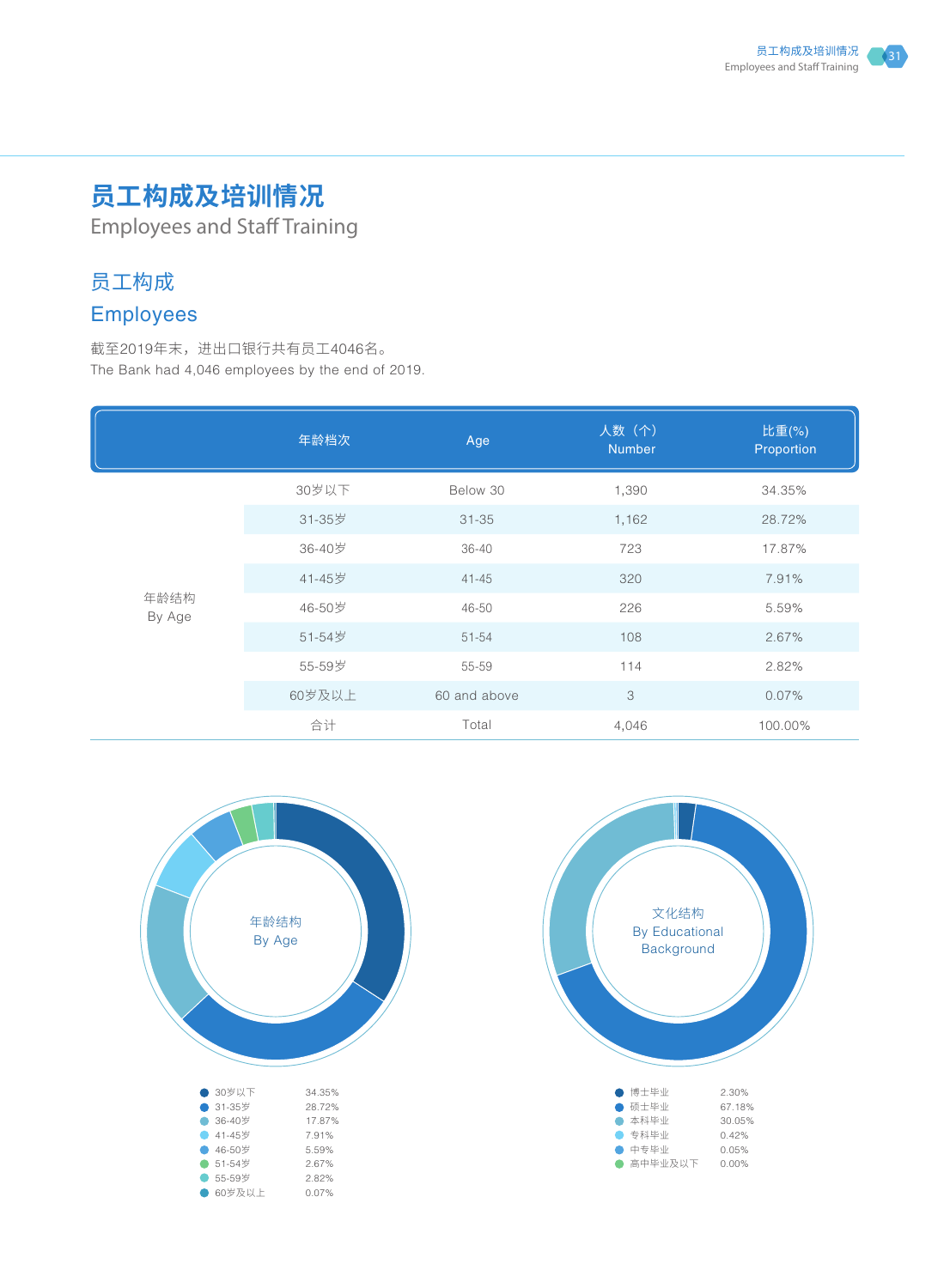# **员工构成及培训情况**

Employees and Staff Training

## 员工构成

# Employees

截至2019年末,进出口银行共有员工4046名。 The Bank had 4,046 employees by the end of 2019.

|                | 年龄档次   | Age          | 人数(个)<br><b>Number</b> | 比重(%)<br>Proportion |
|----------------|--------|--------------|------------------------|---------------------|
| 年龄结构<br>By Age | 30岁以下  | Below 30     | 1,390                  | 34.35%              |
|                | 31-35岁 | $31 - 35$    | 1,162                  | 28.72%              |
|                | 36-40岁 | $36 - 40$    | 723                    | 17.87%              |
|                | 41-45岁 | $41 - 45$    | 320                    | 7.91%               |
|                | 46-50岁 | 46-50        | 226                    | 5.59%               |
|                | 51-54岁 | 51-54        | 108                    | 2.67%               |
|                | 55-59岁 | 55-59        | 114                    | 2.82%               |
|                | 60岁及以上 | 60 and above | 3                      | 0.07%               |
|                | 合计     | Total        | 4,046                  | 100.00%             |



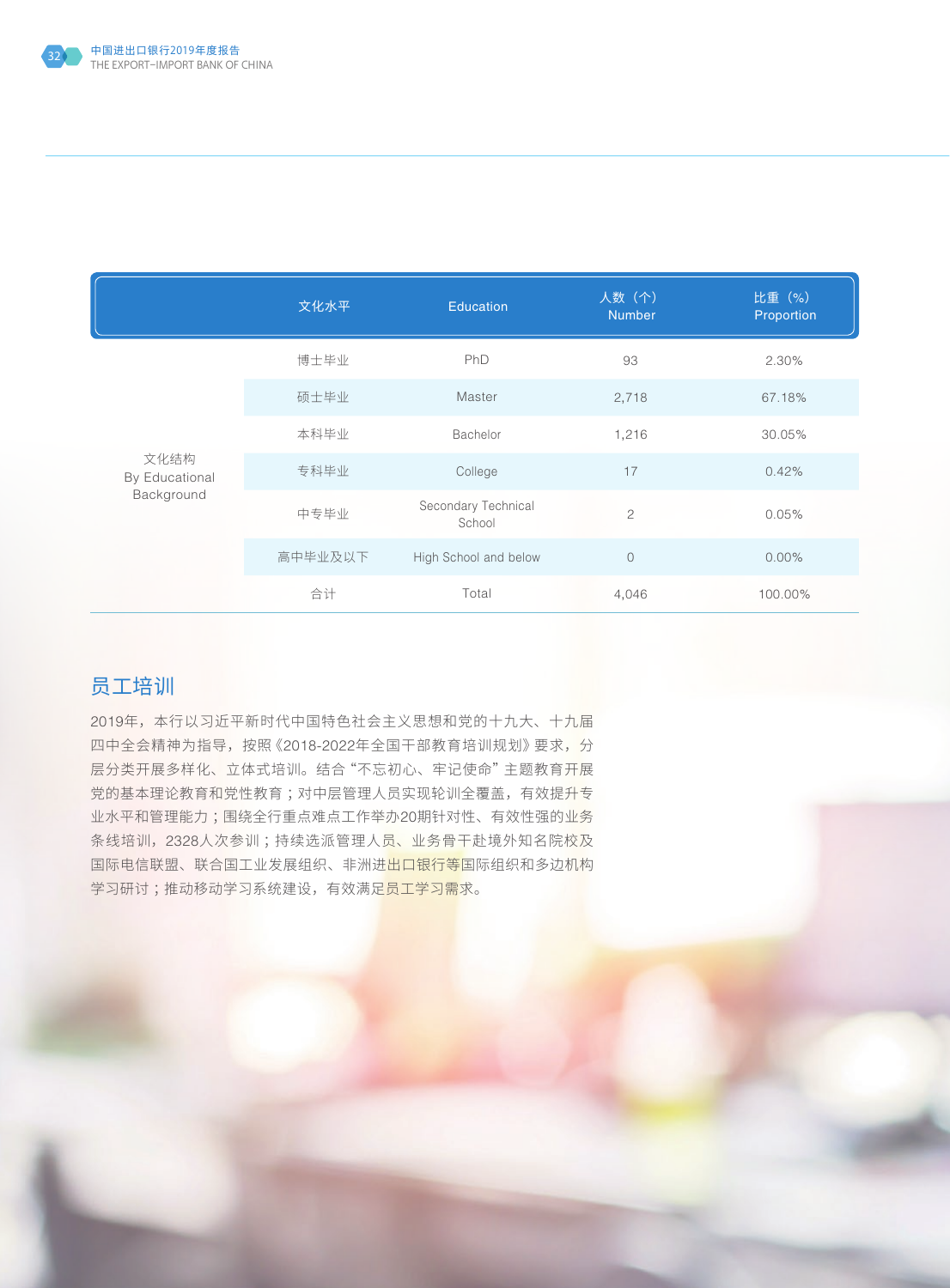

|                                      | 文化水平    | <b>Education</b>              | 人数(个)<br><b>Number</b> | 比重 (%)<br>Proportion |
|--------------------------------------|---------|-------------------------------|------------------------|----------------------|
| 文化结构<br>By Educational<br>Background | 博士毕业    | PhD                           | 93                     | 2.30%                |
|                                      | 硕士毕业    | Master                        | 2,718                  | 67.18%               |
|                                      | 本科毕业    | Bachelor                      | 1,216                  | 30.05%               |
|                                      | 专科毕业    | College                       | 17                     | 0.42%                |
|                                      | 中专毕业    | Secondary Technical<br>School | $\overline{c}$         | 0.05%                |
|                                      | 高中毕业及以下 | High School and below         | $\mathbf 0$            | $0.00\%$             |
|                                      | 合计      | Total                         | 4,046                  | 100.00%              |

### 员工培训

2019年,本行以习近平新时代中国特色社会主义思想和党的十九大、十九届 四中全会精神为指导,按照《2018-2022年全国干部教育培训规划》要求,分 层分类开展多样化、立体式培训。结合"不忘初心、牢记使命"主题教育开展 党的基本理论教育和党性教育 ;对中层管理人员实现轮训全覆盖,有效提升专 业水平和管理能力 ;围绕全行重点难点工作举办20期针对性、有效性强的业务 条线培训,2328人次参训 ;持续选派管理人员、业务骨干赴境外知名院校及 国际电信联盟、联合国工业发展组织、非洲进出口银行等国际组织和多边机构 学习研讨 ;推动移动学习系统建设,有效满足员工学习需求。